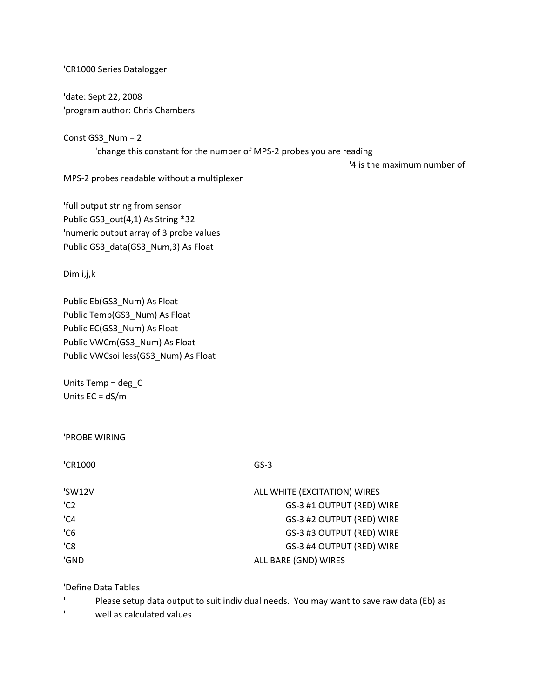## 'CR1000 Series Datalogger

'date: Sept 22, 2008 'program author: Chris Chambers

Const GS3\_Num = 2 'change this constant for the number of MPS-2 probes you are reading

'4 is the maximum number of

MPS-2 probes readable without a multiplexer

'full output string from sensor Public GS3\_out(4,1) As String \*32 'numeric output array of 3 probe values Public GS3\_data(GS3\_Num,3) As Float

Dim i,j,k

Public Eb(GS3\_Num) As Float Public Temp(GS3\_Num) As Float Public EC(GS3\_Num) As Float Public VWCm(GS3\_Num) As Float Public VWCsoilless(GS3\_Num) As Float

Units Temp = deg\_C Units EC = dS/m

'PROBE WIRING

| 'CR1000         | $GS-3$                       |
|-----------------|------------------------------|
| 'SW12V          | ALL WHITE (EXCITATION) WIRES |
| 'C <sub>2</sub> | GS-3 #1 OUTPUT (RED) WIRE    |
| 'C4             | GS-3 #2 OUTPUT (RED) WIRE    |
| °C6             | GS-3 #3 OUTPUT (RED) WIRE    |
| 'C8             | GS-3 #4 OUTPUT (RED) WIRE    |
| 'GND            | ALL BARE (GND) WIRES         |

'Define Data Tables

 $\mathbf{I}$ Please setup data output to suit individual needs. You may want to save raw data (Eb) as

 $\mathbf{I}$ well as calculated values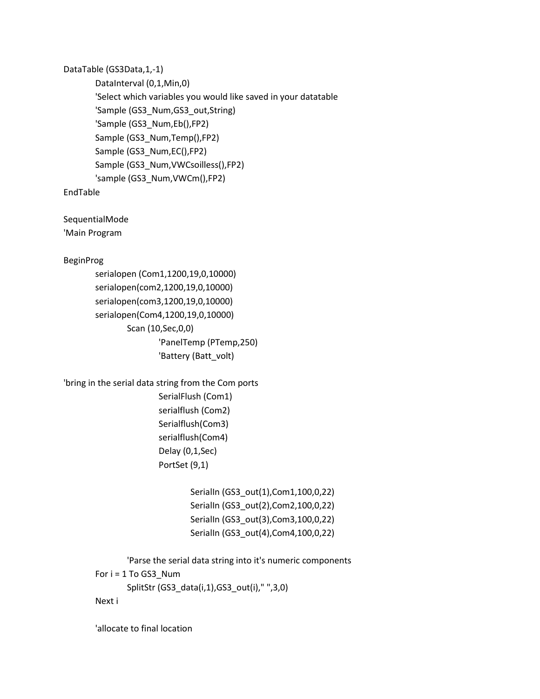DataTable (GS3Data,1,-1)

DataInterval (0,1,Min,0) 'Select which variables you would like saved in your datatable 'Sample (GS3\_Num,GS3\_out,String) 'Sample (GS3\_Num,Eb(),FP2) Sample (GS3\_Num,Temp(),FP2) Sample (GS3\_Num,EC(),FP2) Sample (GS3\_Num,VWCsoilless(),FP2) 'sample (GS3\_Num,VWCm(),FP2)

EndTable

SequentialMode 'Main Program

BeginProg

```
serialopen (Com1,1200,19,0,10000)
serialopen(com2,1200,19,0,10000)
serialopen(com3,1200,19,0,10000)
serialopen(Com4,1200,19,0,10000)
       Scan (10,Sec,0,0)
               'PanelTemp (PTemp,250)
               'Battery (Batt_volt)
```
'bring in the serial data string from the Com ports

SerialFlush (Com1) serialflush (Com2) Serialflush(Com3) serialflush(Com4) Delay (0,1,Sec) PortSet (9,1)

> SerialIn (GS3\_out(1),Com1,100,0,22) SerialIn (GS3\_out(2),Com2,100,0,22) SerialIn (GS3\_out(3),Com3,100,0,22) SerialIn (GS3\_out(4),Com4,100,0,22)

'Parse the serial data string into it's numeric components For  $i = 1$  To GS3 Num SplitStr (GS3\_data(i,1),GS3\_out(i)," ",3,0)

Next i

'allocate to final location